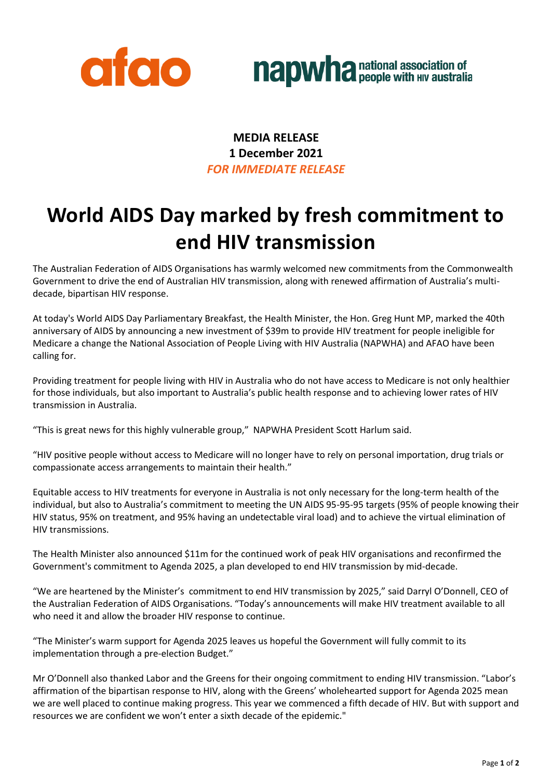



**MEDIA RELEASE 1 December 2021** *FOR IMMEDIATE RELEASE*

## **World AIDS Day marked by fresh commitment to end HIV transmission**

The Australian Federation of AIDS Organisations has warmly welcomed new commitments from the Commonwealth Government to drive the end of Australian HIV transmission, along with renewed affirmation of Australia's multidecade, bipartisan HIV response.

At today's World AIDS Day Parliamentary Breakfast, the Health Minister, the Hon. Greg Hunt MP, marked the 40th anniversary of AIDS by announcing a new investment of \$39m to provide HIV treatment for people ineligible for Medicare a change the National Association of People Living with HIV Australia (NAPWHA) and AFAO have been calling for.

Providing treatment for people living with HIV in Australia who do not have access to Medicare is not only healthier for those individuals, but also important to Australia's public health response and to achieving lower rates of HIV transmission in Australia.

"This is great news for this highly vulnerable group," NAPWHA President Scott Harlum said.

"HIV positive people without access to Medicare will no longer have to rely on personal importation, drug trials or compassionate access arrangements to maintain their health."

Equitable access to HIV treatments for everyone in Australia is not only necessary for the long-term health of the individual, but also to Australia's commitment to meeting the UN AIDS 95-95-95 targets (95% of people knowing their HIV status, 95% on treatment, and 95% having an undetectable viral load) and to achieve the virtual elimination of HIV transmissions.

The Health Minister also announced \$11m for the continued work of peak HIV organisations and reconfirmed the Government's commitment to Agenda 2025, a plan developed to end HIV transmission by mid-decade.

"We are heartened by the Minister's commitment to end HIV transmission by 2025," said Darryl O'Donnell, CEO of the Australian Federation of AIDS Organisations. "Today's announcements will make HIV treatment available to all who need it and allow the broader HIV response to continue.

"The Minister's warm support for Agenda 2025 leaves us hopeful the Government will fully commit to its implementation through a pre-election Budget."

Mr O'Donnell also thanked Labor and the Greens for their ongoing commitment to ending HIV transmission. "Labor's affirmation of the bipartisan response to HIV, along with the Greens' wholehearted support for Agenda 2025 mean we are well placed to continue making progress. This year we commenced a fifth decade of HIV. But with support and resources we are confident we won't enter a sixth decade of the epidemic."